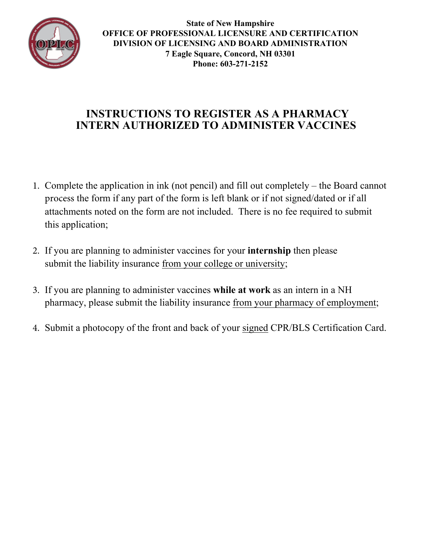

**State of New Hampshire OFFICE OF PROFESSIONAL LICENSURE AND CERTIFICATION DIVISION OF LICENSING AND BOARD ADMINISTRATION 7 Eagle Square, Concord, NH 03301 Phone: 603-271-2152**

## INSTRUCTIONS TO REGISTER AS A PHARM**A**CY INTERN AUTHORIZED TO ADMINISTER VACCINES

- 1. Complete the application in ink (not pencil) and fill out completely the Board cannot process the form if any part of the form is left blank or if not signed/dated or if all attachments noted on the form are not included. There is no fee required to submit this application;
- 2. If you are planning to administer vaccines for your internship then please submit the liability insurance from your college or university;
- 3. If you are planning to administer vaccines while at work as an intern in a NH pharmacy, please submit the liability insurance from your pharmacy of employment;
- 4. Submit a photocopy of the front and back of your signed CPR/BLS Certification Card.